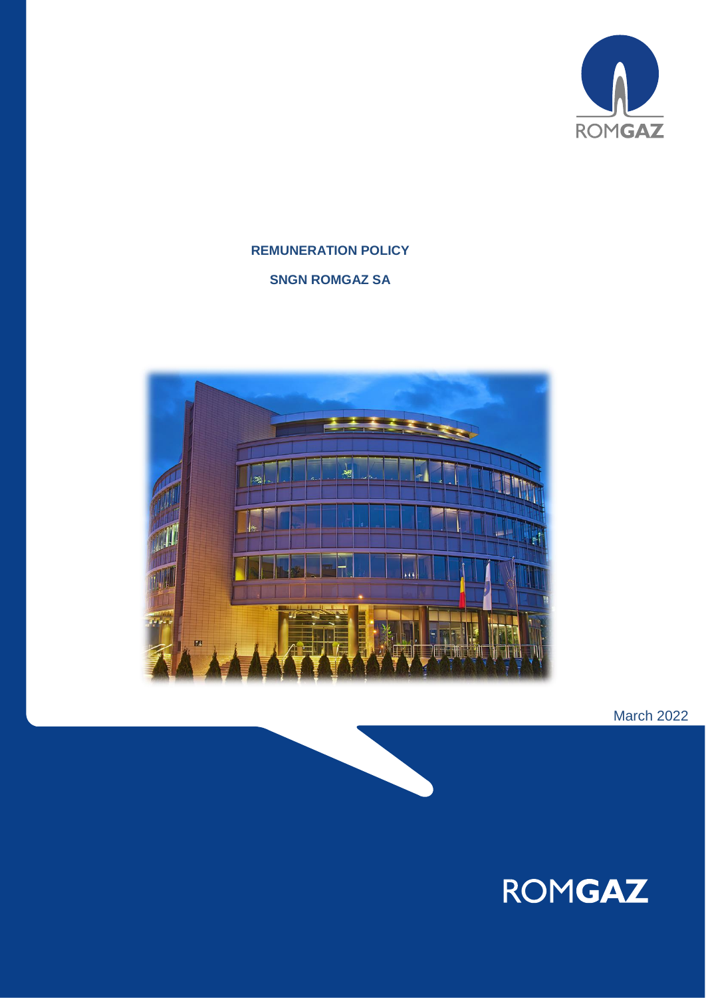

# **REMUNERATION POLICY SNGN ROMGAZ SA**



March 2022

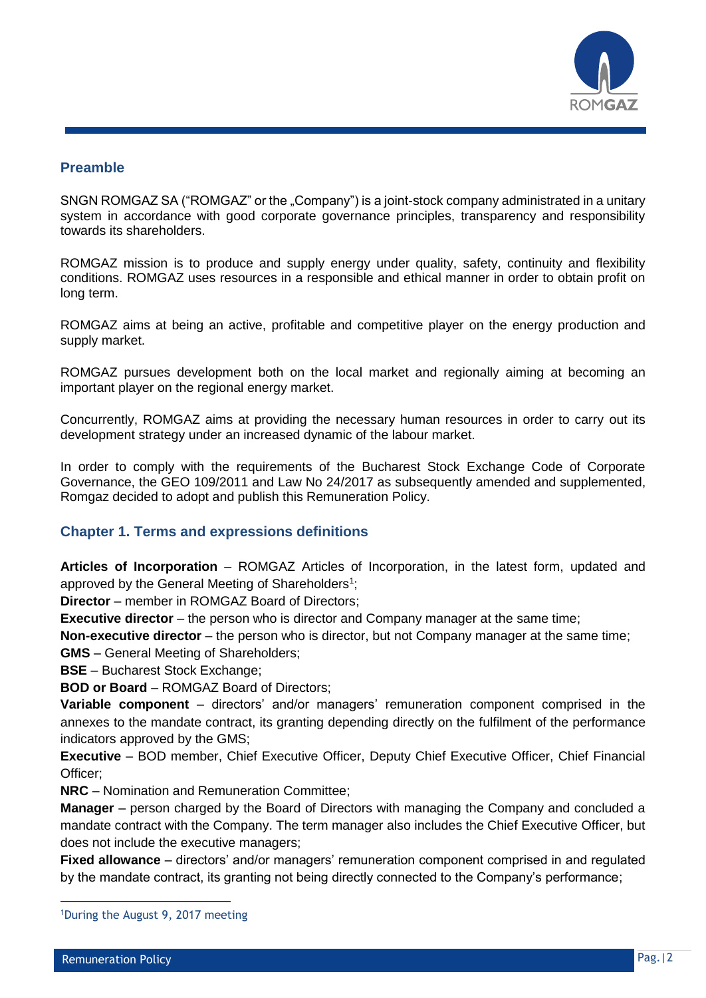

### **Preamble**

SNGN ROMGAZ SA ("ROMGAZ" or the "Company") is a joint-stock company administrated in a unitary system in accordance with good corporate governance principles, transparency and responsibility towards its shareholders.

ROMGAZ mission is to produce and supply energy under quality, safety, continuity and flexibility conditions. ROMGAZ uses resources in a responsible and ethical manner in order to obtain profit on long term.

ROMGAZ aims at being an active, profitable and competitive player on the energy production and supply market.

ROMGAZ pursues development both on the local market and regionally aiming at becoming an important player on the regional energy market.

Concurrently, ROMGAZ aims at providing the necessary human resources in order to carry out its development strategy under an increased dynamic of the labour market.

In order to comply with the requirements of the Bucharest Stock Exchange Code of Corporate Governance, the GEO 109/2011 and Law No 24/2017 as subsequently amended and supplemented, Romgaz decided to adopt and publish this Remuneration Policy.

# **Chapter 1. Terms and expressions definitions**

**Articles of Incorporation** – ROMGAZ Articles of Incorporation, in the latest form, updated and approved by the General Meeting of Shareholders<sup>1</sup>;

**Director** – member in ROMGAZ Board of Directors;

**Executive director** – the person who is director and Company manager at the same time;

**Non-executive director** – the person who is director, but not Company manager at the same time;

**GMS** – General Meeting of Shareholders;

**BSE** – Bucharest Stock Exchange;

**BOD or Board** – ROMGAZ Board of Directors;

**Variable component** – directors' and/or managers' remuneration component comprised in the annexes to the mandate contract, its granting depending directly on the fulfilment of the performance indicators approved by the GMS;

**Executive** – BOD member, Chief Executive Officer, Deputy Chief Executive Officer, Chief Financial Officer;

**NRC** – Nomination and Remuneration Committee;

**Manager** – person charged by the Board of Directors with managing the Company and concluded a mandate contract with the Company. The term manager also includes the Chief Executive Officer, but does not include the executive managers;

**Fixed allowance** – directors' and/or managers' remuneration component comprised in and regulated by the mandate contract, its granting not being directly connected to the Company's performance;

 $\overline{a}$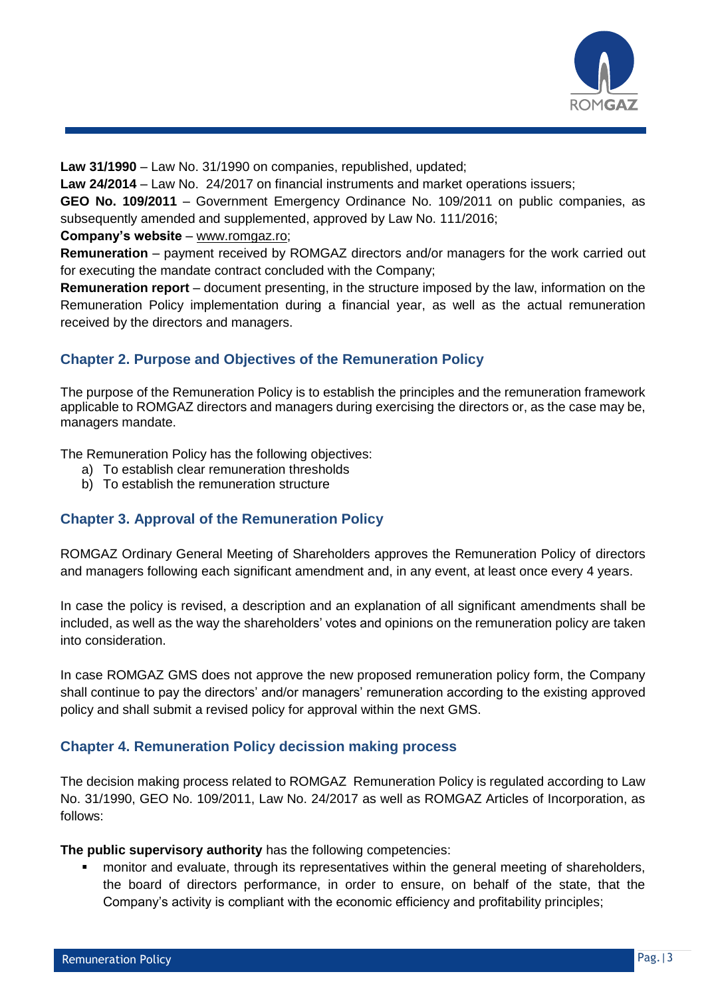

**Law 31/1990** – Law No. 31/1990 on companies, republished, updated;

**Law 24/2014** – Law No. 24/2017 on financial instruments and market operations issuers;

**GEO No. 109/2011** – Government Emergency Ordinance No. 109/2011 on public companies, as subsequently amended and supplemented, approved by Law No. 111/2016;

**Company's website** – [www.romgaz.ro;](http://www.romgaz.ro/)

**Remuneration** – payment received by ROMGAZ directors and/or managers for the work carried out for executing the mandate contract concluded with the Company;

**Remuneration report** – document presenting, in the structure imposed by the law, information on the Remuneration Policy implementation during a financial year, as well as the actual remuneration received by the directors and managers.

# **Chapter 2. Purpose and Objectives of the Remuneration Policy**

The purpose of the Remuneration Policy is to establish the principles and the remuneration framework applicable to ROMGAZ directors and managers during exercising the directors or, as the case may be, managers mandate.

The Remuneration Policy has the following objectives:

- a) To establish clear remuneration thresholds
- b) To establish the remuneration structure

# **Chapter 3. Approval of the Remuneration Policy**

ROMGAZ Ordinary General Meeting of Shareholders approves the Remuneration Policy of directors and managers following each significant amendment and, in any event, at least once every 4 years.

In case the policy is revised, a description and an explanation of all significant amendments shall be included, as well as the way the shareholders' votes and opinions on the remuneration policy are taken into consideration.

In case ROMGAZ GMS does not approve the new proposed remuneration policy form, the Company shall continue to pay the directors' and/or managers' remuneration according to the existing approved policy and shall submit a revised policy for approval within the next GMS.

# **Chapter 4. Remuneration Policy decission making process**

The decision making process related to ROMGAZ Remuneration Policy is regulated according to Law No. 31/1990, GEO No. 109/2011, Law No. 24/2017 as well as ROMGAZ Articles of Incorporation, as follows:

**The public supervisory authority** has the following competencies:

 monitor and evaluate, through its representatives within the general meeting of shareholders, the board of directors performance, in order to ensure, on behalf of the state, that the Company's activity is compliant with the economic efficiency and profitability principles;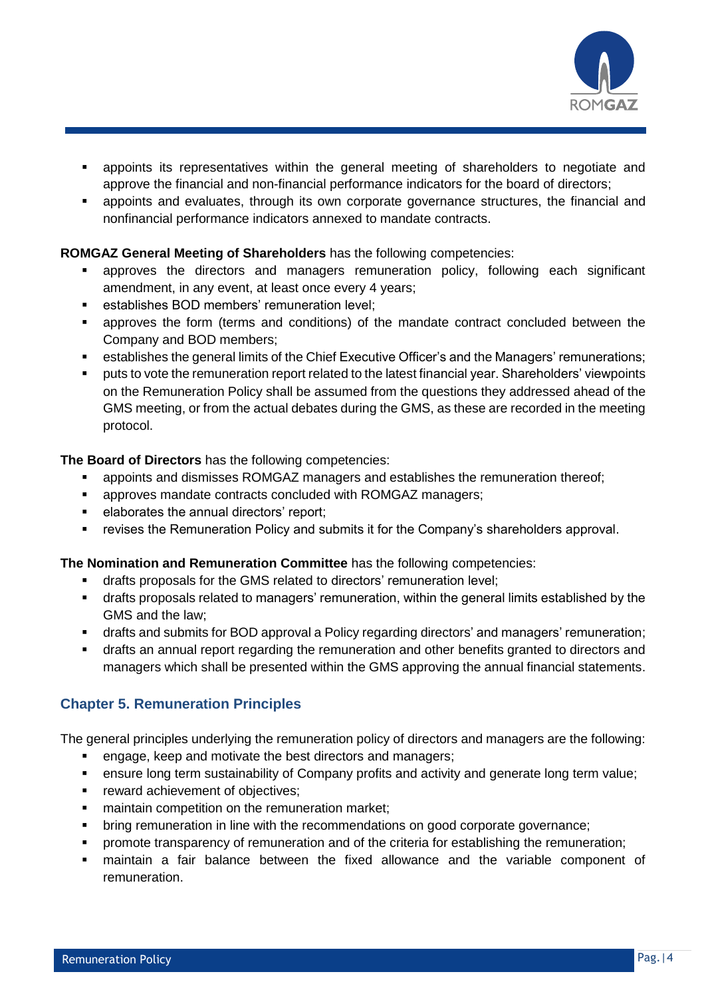

- appoints its representatives within the general meeting of shareholders to negotiate and approve the financial and non-financial performance indicators for the board of directors;
- appoints and evaluates, through its own corporate governance structures, the financial and nonfinancial performance indicators annexed to mandate contracts.

### **ROMGAZ General Meeting of Shareholders** has the following competencies:

- approves the directors and managers remuneration policy, following each significant amendment, in any event, at least once every 4 years;
- **EXECT** establishes BOD members' remuneration level;
- approves the form (terms and conditions) of the mandate contract concluded between the Company and BOD members;
- **EXECT ADDE EXECTS IN EXECTS FOR THE SET ADDER** establishes in establishes the Stablishes temunerations;
- puts to vote the remuneration report related to the latest financial year. Shareholders' viewpoints on the Remuneration Policy shall be assumed from the questions they addressed ahead of the GMS meeting, or from the actual debates during the GMS, as these are recorded in the meeting protocol.

### **The Board of Directors** has the following competencies:

- appoints and dismisses ROMGAZ managers and establishes the remuneration thereof;
- **EXECT** approves mandate contracts concluded with ROMGAZ managers;
- **elaborates the annual directors' report;**
- **•** revises the Remuneration Policy and submits it for the Company's shareholders approval.

### **The Nomination and Remuneration Committee** has the following competencies:

- drafts proposals for the GMS related to directors' remuneration level;
- drafts proposals related to managers' remuneration, within the general limits established by the GMS and the law;
- drafts and submits for BOD approval a Policy regarding directors' and managers' remuneration;
- drafts an annual report regarding the remuneration and other benefits granted to directors and managers which shall be presented within the GMS approving the annual financial statements.

# **Chapter 5. Remuneration Principles**

The general principles underlying the remuneration policy of directors and managers are the following:

- engage, keep and motivate the best directors and managers;
- ensure long term sustainability of Company profits and activity and generate long term value;
- **Fig. 3** reward achievement of objectives;
- **numital in** competition on the remuneration market;
- bring remuneration in line with the recommendations on good corporate governance;
- promote transparency of remuneration and of the criteria for establishing the remuneration;
- maintain a fair balance between the fixed allowance and the variable component of remuneration.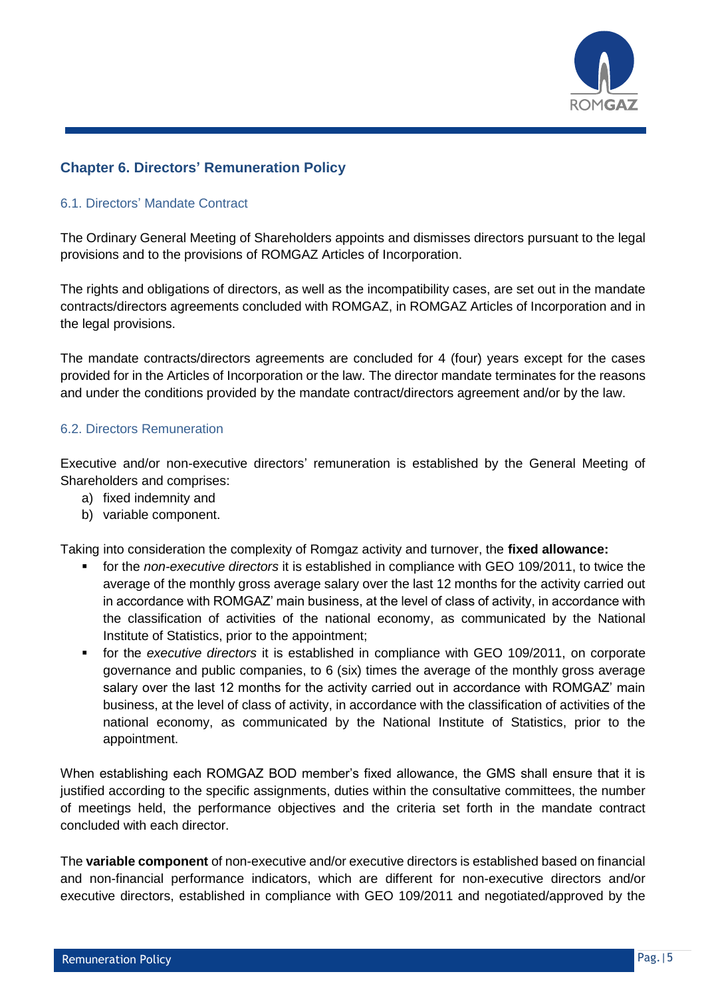

# **Chapter 6. Directors' Remuneration Policy**

### 6.1. Directors' Mandate Contract

The Ordinary General Meeting of Shareholders appoints and dismisses directors pursuant to the legal provisions and to the provisions of ROMGAZ Articles of Incorporation.

The rights and obligations of directors, as well as the incompatibility cases, are set out in the mandate contracts/directors agreements concluded with ROMGAZ, in ROMGAZ Articles of Incorporation and in the legal provisions.

The mandate contracts/directors agreements are concluded for 4 (four) years except for the cases provided for in the Articles of Incorporation or the law. The director mandate terminates for the reasons and under the conditions provided by the mandate contract/directors agreement and/or by the law.

### 6.2. Directors Remuneration

Executive and/or non-executive directors' remuneration is established by the General Meeting of Shareholders and comprises:

- a) fixed indemnity and
- b) variable component.

Taking into consideration the complexity of Romgaz activity and turnover, the **fixed allowance:**

- for the *non-executive directors* it is established in compliance with GEO 109/2011, to twice the average of the monthly gross average salary over the last 12 months for the activity carried out in accordance with ROMGAZ' main business, at the level of class of activity, in accordance with the classification of activities of the national economy, as communicated by the National Institute of Statistics, prior to the appointment;
- for the *executive directors* it is established in compliance with GEO 109/2011, on corporate governance and public companies, to 6 (six) times the average of the monthly gross average salary over the last 12 months for the activity carried out in accordance with ROMGAZ' main business, at the level of class of activity, in accordance with the classification of activities of the national economy, as communicated by the National Institute of Statistics, prior to the appointment.

When establishing each ROMGAZ BOD member's fixed allowance, the GMS shall ensure that it is justified according to the specific assignments, duties within the consultative committees, the number of meetings held, the performance objectives and the criteria set forth in the mandate contract concluded with each director.

The **variable component** of non-executive and/or executive directors is established based on financial and non-financial performance indicators, which are different for non-executive directors and/or executive directors, established in compliance with GEO 109/2011 and negotiated/approved by the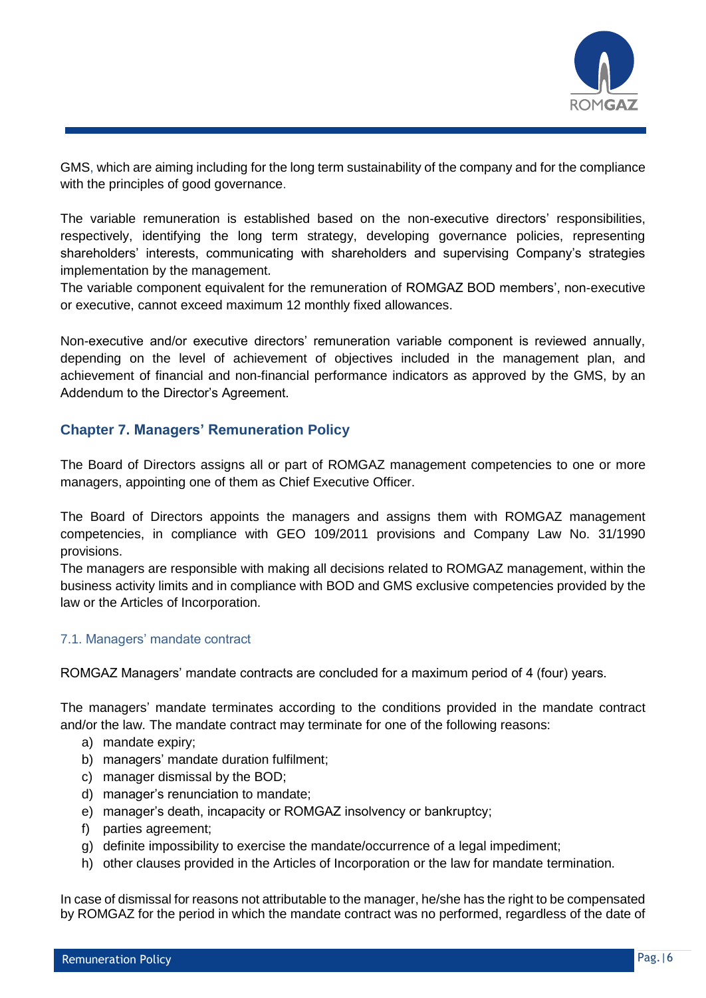

GMS, which are aiming including for the long term sustainability of the company and for the compliance with the principles of good governance.

The variable remuneration is established based on the non-executive directors' responsibilities, respectively, identifying the long term strategy, developing governance policies, representing shareholders' interests, communicating with shareholders and supervising Company's strategies implementation by the management.

The variable component equivalent for the remuneration of ROMGAZ BOD members', non-executive or executive, cannot exceed maximum 12 monthly fixed allowances.

Non-executive and/or executive directors' remuneration variable component is reviewed annually, depending on the level of achievement of objectives included in the management plan, and achievement of financial and non-financial performance indicators as approved by the GMS, by an Addendum to the Director's Agreement.

# **Chapter 7. Managers' Remuneration Policy**

The Board of Directors assigns all or part of ROMGAZ management competencies to one or more managers, appointing one of them as Chief Executive Officer.

The Board of Directors appoints the managers and assigns them with ROMGAZ management competencies, in compliance with GEO 109/2011 provisions and Company Law No. 31/1990 provisions.

The managers are responsible with making all decisions related to ROMGAZ management, within the business activity limits and in compliance with BOD and GMS exclusive competencies provided by the law or the Articles of Incorporation.

### 7.1. Managers' mandate contract

ROMGAZ Managers' mandate contracts are concluded for a maximum period of 4 (four) years.

The managers' mandate terminates according to the conditions provided in the mandate contract and/or the law. The mandate contract may terminate for one of the following reasons:

- a) mandate expiry;
- b) managers' mandate duration fulfilment;
- c) manager dismissal by the BOD;
- d) manager's renunciation to mandate;
- e) manager's death, incapacity or ROMGAZ insolvency or bankruptcy;
- f) parties agreement;
- g) definite impossibility to exercise the mandate/occurrence of a legal impediment;
- h) other clauses provided in the Articles of Incorporation or the law for mandate termination.

In case of dismissal for reasons not attributable to the manager, he/she has the right to be compensated by ROMGAZ for the period in which the mandate contract was no performed, regardless of the date of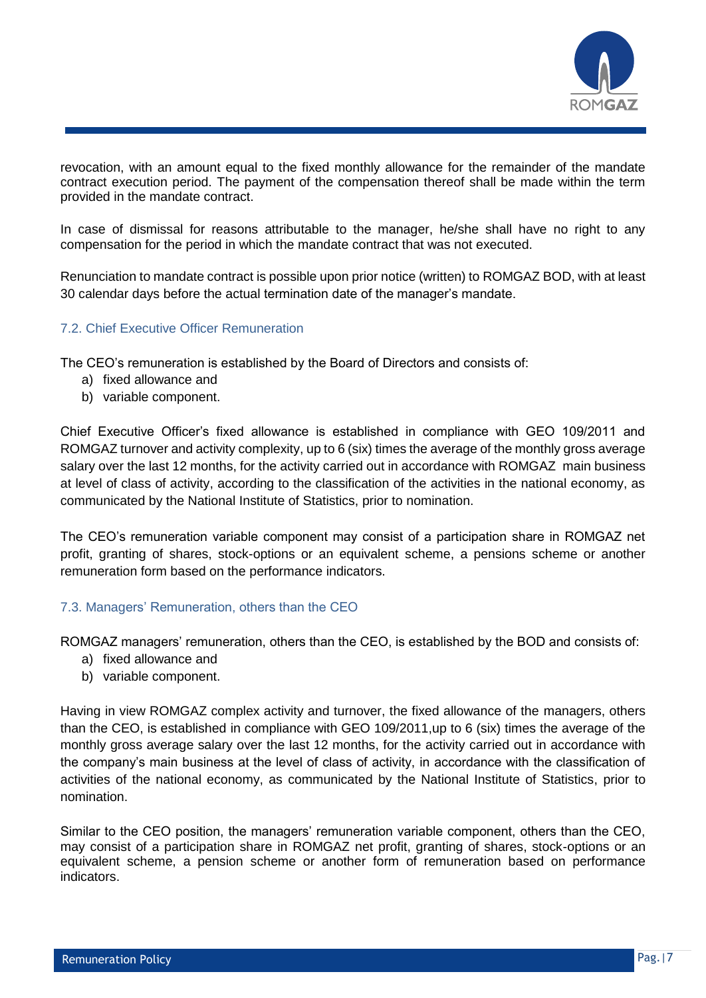

revocation, with an amount equal to the fixed monthly allowance for the remainder of the mandate contract execution period. The payment of the compensation thereof shall be made within the term provided in the mandate contract.

In case of dismissal for reasons attributable to the manager, he/she shall have no right to any compensation for the period in which the mandate contract that was not executed.

Renunciation to mandate contract is possible upon prior notice (written) to ROMGAZ BOD, with at least 30 calendar days before the actual termination date of the manager's mandate.

# 7.2. Chief Executive Officer Remuneration

The CEO's remuneration is established by the Board of Directors and consists of:

- a) fixed allowance and
- b) variable component.

Chief Executive Officer's fixed allowance is established in compliance with GEO 109/2011 and ROMGAZ turnover and activity complexity, up to 6 (six) times the average of the monthly gross average salary over the last 12 months, for the activity carried out in accordance with ROMGAZ main business at level of class of activity, according to the classification of the activities in the national economy, as communicated by the National Institute of Statistics, prior to nomination.

The CEO's remuneration variable component may consist of a participation share in ROMGAZ net profit, granting of shares, stock-options or an equivalent scheme, a pensions scheme or another remuneration form based on the performance indicators.

### 7.3. Managers' Remuneration, others than the CEO

ROMGAZ managers' remuneration, others than the CEO, is established by the BOD and consists of:

- a) fixed allowance and
- b) variable component.

Having in view ROMGAZ complex activity and turnover, the fixed allowance of the managers, others than the CEO, is established in compliance with GEO 109/2011,up to 6 (six) times the average of the monthly gross average salary over the last 12 months, for the activity carried out in accordance with the company's main business at the level of class of activity, in accordance with the classification of activities of the national economy, as communicated by the National Institute of Statistics, prior to nomination.

Similar to the CEO position, the managers' remuneration variable component, others than the CEO, may consist of a participation share in ROMGAZ net profit, granting of shares, stock-options or an equivalent scheme, a pension scheme or another form of remuneration based on performance indicators.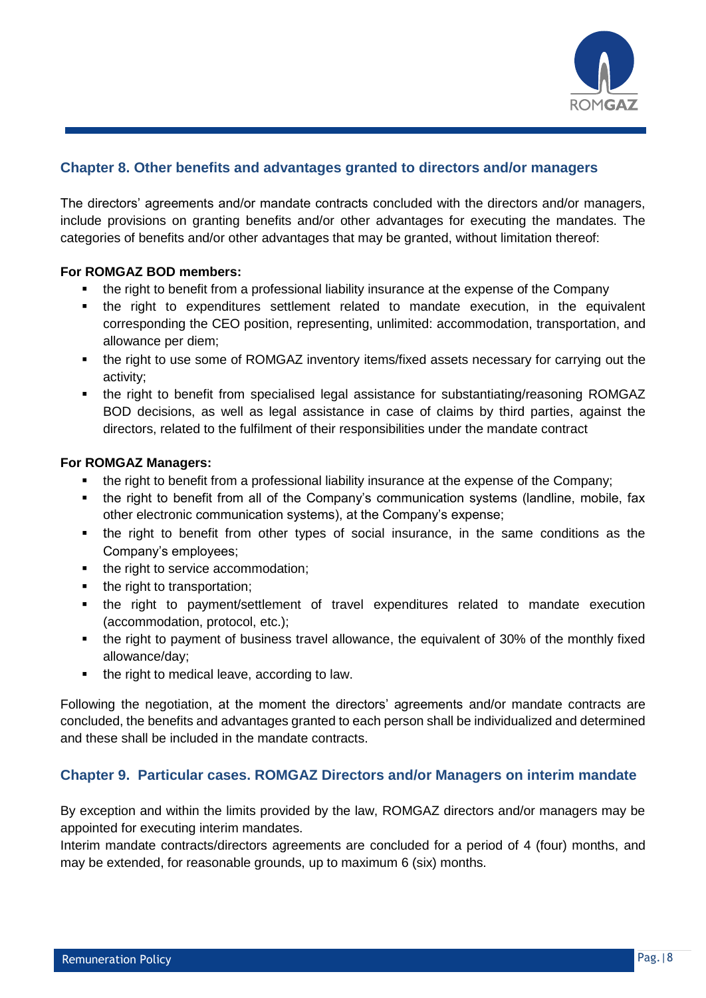

# **Chapter 8. Other benefits and advantages granted to directors and/or managers**

The directors' agreements and/or mandate contracts concluded with the directors and/or managers, include provisions on granting benefits and/or other advantages for executing the mandates. The categories of benefits and/or other advantages that may be granted, without limitation thereof:

### **For ROMGAZ BOD members:**

- the right to benefit from a professional liability insurance at the expense of the Company
- the right to expenditures settlement related to mandate execution, in the equivalent corresponding the CEO position, representing, unlimited: accommodation, transportation, and allowance per diem;
- the right to use some of ROMGAZ inventory items/fixed assets necessary for carrying out the activity;
- the right to benefit from specialised legal assistance for substantiating/reasoning ROMGAZ BOD decisions, as well as legal assistance in case of claims by third parties, against the directors, related to the fulfilment of their responsibilities under the mandate contract

### **For ROMGAZ Managers:**

- the right to benefit from a professional liability insurance at the expense of the Company;
- the right to benefit from all of the Company's communication systems (landline, mobile, fax other electronic communication systems), at the Company's expense;
- the right to benefit from other types of social insurance, in the same conditions as the Company's employees;
- the right to service accommodation;
- the right to transportation;
- the right to payment/settlement of travel expenditures related to mandate execution (accommodation, protocol, etc.);
- the right to payment of business travel allowance, the equivalent of 30% of the monthly fixed allowance/day;
- the right to medical leave, according to law.

Following the negotiation, at the moment the directors' agreements and/or mandate contracts are concluded, the benefits and advantages granted to each person shall be individualized and determined and these shall be included in the mandate contracts.

# **Chapter 9. Particular cases. ROMGAZ Directors and/or Managers on interim mandate**

By exception and within the limits provided by the law, ROMGAZ directors and/or managers may be appointed for executing interim mandates.

Interim mandate contracts/directors agreements are concluded for a period of 4 (four) months, and may be extended, for reasonable grounds, up to maximum 6 (six) months.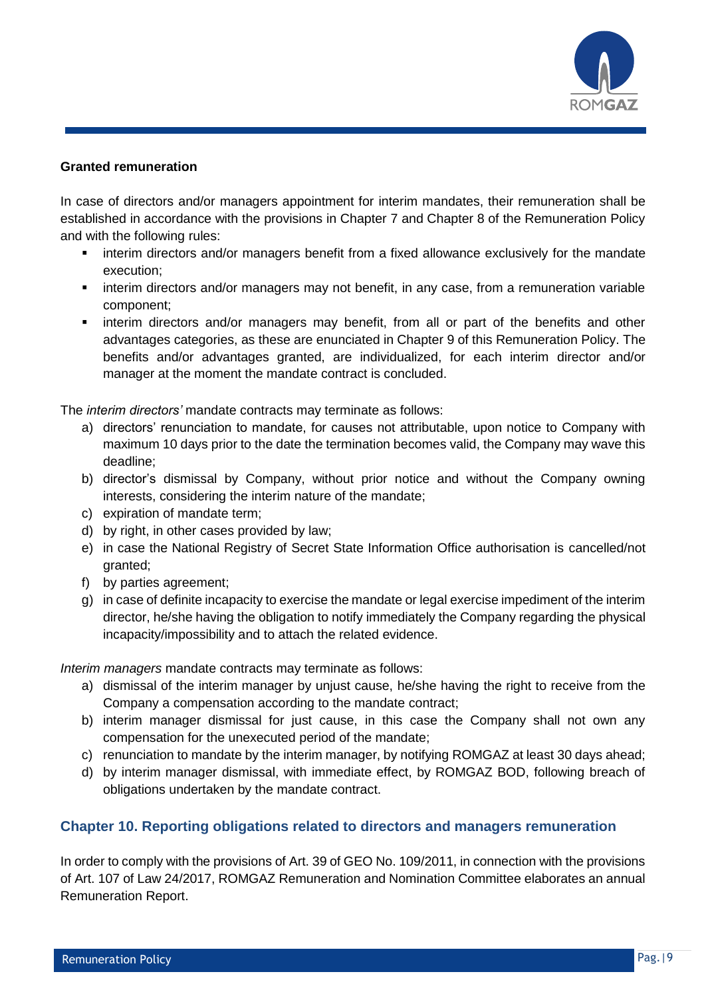

#### **Granted remuneration**

In case of directors and/or managers appointment for interim mandates, their remuneration shall be established in accordance with the provisions in Chapter 7 and Chapter 8 of the Remuneration Policy and with the following rules:

- interim directors and/or managers benefit from a fixed allowance exclusively for the mandate execution;
- interim directors and/or managers may not benefit, in any case, from a remuneration variable component;
- **EX interim directors and/or managers may benefit, from all or part of the benefits and other** advantages categories, as these are enunciated in Chapter 9 of this Remuneration Policy. The benefits and/or advantages granted, are individualized, for each interim director and/or manager at the moment the mandate contract is concluded.

The *interim directors'* mandate contracts may terminate as follows:

- a) directors' renunciation to mandate, for causes not attributable, upon notice to Company with maximum 10 days prior to the date the termination becomes valid, the Company may wave this deadline;
- b) director's dismissal by Company, without prior notice and without the Company owning interests, considering the interim nature of the mandate;
- c) expiration of mandate term;
- d) by right, in other cases provided by law;
- e) in case the National Registry of Secret State Information Office authorisation is cancelled/not granted;
- f) by parties agreement;
- g) in case of definite incapacity to exercise the mandate or legal exercise impediment of the interim director, he/she having the obligation to notify immediately the Company regarding the physical incapacity/impossibility and to attach the related evidence.

*Interim managers* mandate contracts may terminate as follows:

- a) dismissal of the interim manager by unjust cause, he/she having the right to receive from the Company a compensation according to the mandate contract;
- b) interim manager dismissal for just cause, in this case the Company shall not own any compensation for the unexecuted period of the mandate;
- c) renunciation to mandate by the interim manager, by notifying ROMGAZ at least 30 days ahead;
- d) by interim manager dismissal, with immediate effect, by ROMGAZ BOD, following breach of obligations undertaken by the mandate contract.

# **Chapter 10. Reporting obligations related to directors and managers remuneration**

In order to comply with the provisions of Art. 39 of GEO No. 109/2011, in connection with the provisions of Art. 107 of Law 24/2017, ROMGAZ Remuneration and Nomination Committee elaborates an annual Remuneration Report.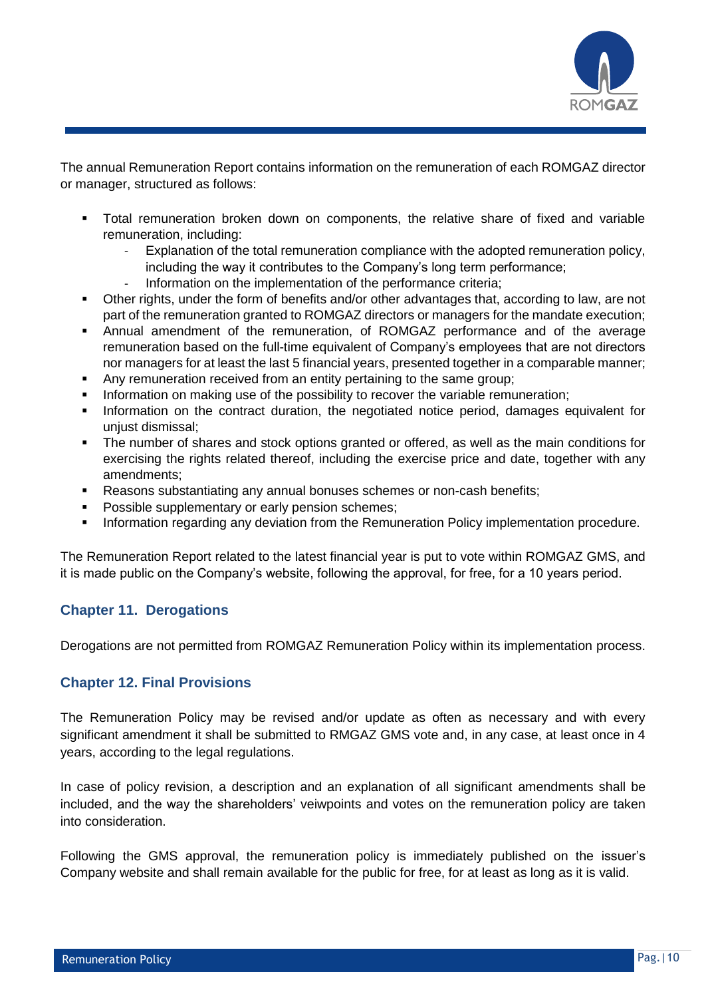

The annual Remuneration Report contains information on the remuneration of each ROMGAZ director or manager, structured as follows:

- Total remuneration broken down on components, the relative share of fixed and variable remuneration, including:
	- Explanation of the total remuneration compliance with the adopted remuneration policy, including the way it contributes to the Company's long term performance;
	- Information on the implementation of the performance criteria;
- Other rights, under the form of benefits and/or other advantages that, according to law, are not part of the remuneration granted to ROMGAZ directors or managers for the mandate execution;
- Annual amendment of the remuneration, of ROMGAZ performance and of the average remuneration based on the full-time equivalent of Company's employees that are not directors nor managers for at least the last 5 financial years, presented together in a comparable manner;
- Any remuneration received from an entity pertaining to the same group;
- Information on making use of the possibility to recover the variable remuneration;
- Information on the contract duration, the negotiated notice period, damages equivalent for unjust dismissal;
- The number of shares and stock options granted or offered, as well as the main conditions for exercising the rights related thereof, including the exercise price and date, together with any amendments;
- Reasons substantiating any annual bonuses schemes or non-cash benefits;
- Possible supplementary or early pension schemes;
- Information regarding any deviation from the Remuneration Policy implementation procedure.

The Remuneration Report related to the latest financial year is put to vote within ROMGAZ GMS, and it is made public on the Company's website, following the approval, for free, for a 10 years period.

### **Chapter 11. Derogations**

Derogations are not permitted from ROMGAZ Remuneration Policy within its implementation process.

### **Chapter 12. Final Provisions**

The Remuneration Policy may be revised and/or update as often as necessary and with every significant amendment it shall be submitted to RMGAZ GMS vote and, in any case, at least once in 4 years, according to the legal regulations.

In case of policy revision, a description and an explanation of all significant amendments shall be included, and the way the shareholders' veiwpoints and votes on the remuneration policy are taken into consideration.

Following the GMS approval, the remuneration policy is immediately published on the issuer's Company website and shall remain available for the public for free, for at least as long as it is valid.